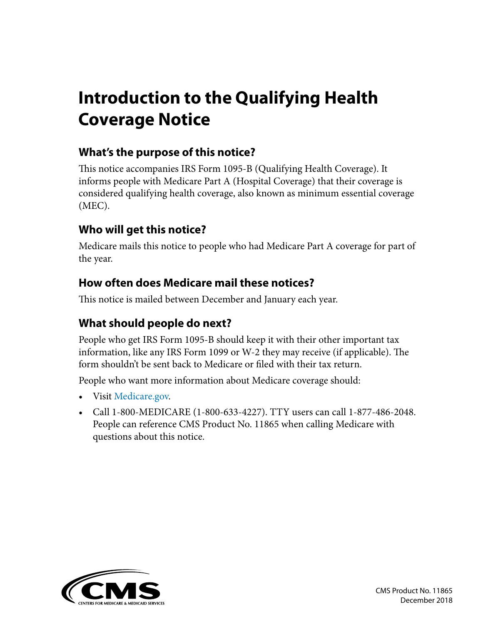# **Introduction to the Qualifying Health Coverage Notice**

#### **What's the purpose of this notice?**

This notice accompanies IRS Form 1095-B (Qualifying Health Coverage). It informs people with Medicare Part A (Hospital Coverage) that their coverage is considered qualifying health coverage, also known as minimum essential coverage (MEC).

#### **Who will get this notice?**

Medicare mails this notice to people who had Medicare Part A coverage for part of the year.

#### **How often does Medicare mail these notices?**

This notice is mailed between December and January each year.

#### **What should people do next?**

People who get IRS Form 1095-B should keep it with their other important tax information, like any IRS Form 1099 or W-2 they may receive (if applicable). The form shouldn't be sent back to Medicare or filed with their tax return.

People who want more information about Medicare coverage should:

- Visit [Medicare.gov](http://Medicare.gov).
- Call 1-800-MEDICARE (1-800-633-4227). TTY users can call 1-877-486-2048. People can reference CMS Product No. 11865 when calling Medicare with questions about this notice.

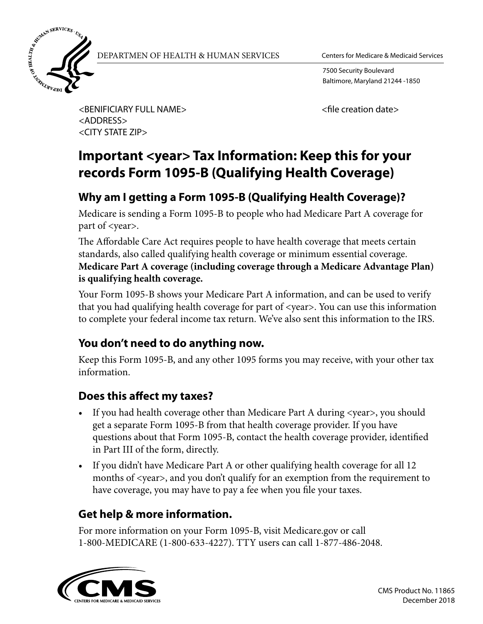

DEPARTMEN OF HEALTH & HUMAN SERVICES Centers for Medicare & Medicaid Services

7500 Security Boulevard Baltimore, Maryland 21244 -1850

<BENIFICIARY FULL NAME> <ADDRESS> <CITY STATE ZIP>

<file creation date>

## **Important <year> Tax Information: Keep this for your records Form 1095-B (Qualifying Health Coverage)**

### **Why am I getting a Form 1095-B (Qualifying Health Coverage)?**

Medicare is sending a Form 1095-B to people who had Medicare Part A coverage for part of <year>.

The Affordable Care Act requires people to have health coverage that meets certain standards, also called qualifying health coverage or minimum essential coverage. **Medicare Part A coverage (including coverage through a Medicare Advantage Plan) is qualifying health coverage.**

Your Form 1095-B shows your Medicare Part A information, and can be used to verify that you had qualifying health coverage for part of <year>. You can use this information to complete your federal income tax return. We've also sent this information to the IRS.

#### **You don't need to do anything now.**

Keep this Form 1095-B, and any other 1095 forms you may receive, with your other tax information.

### **Does this affect my taxes?**

- If you had health coverage other than Medicare Part A during <year>, you should get a separate Form 1095-B from that health coverage provider. If you have questions about that Form 1095-B, contact the health coverage provider, identified in Part III of the form, directly.
- If you didn't have Medicare Part A or other qualifying health coverage for all 12 months of <year>, and you don't qualify for an exemption from the requirement to have coverage, you may have to pay a fee when you file your taxes.

### **Get help & more information.**

For more information on your Form 1095-B, visit Medicare.gov or call 1-800-MEDICARE (1-800-633-4227). TTY users can call 1-877-486-2048.

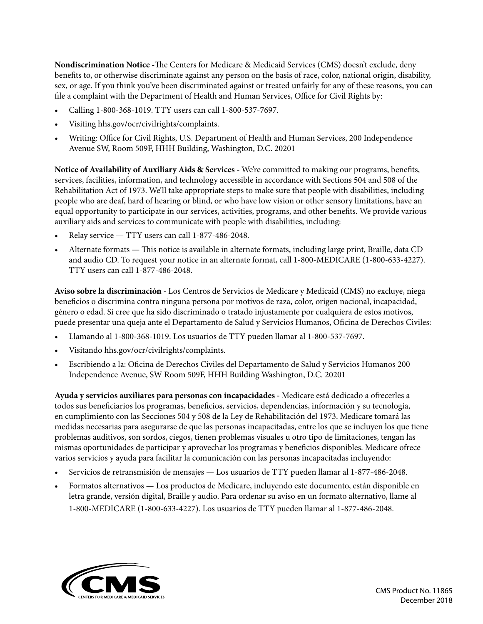**Nondiscrimination Notice -**The Centers for Medicare & Medicaid Services (CMS) doesn't exclude, deny benefits to, or otherwise discriminate against any person on the basis of race, color, national origin, disability, sex, or age. If you think you've been discriminated against or treated unfairly for any of these reasons, you can file a complaint with the Department of Health and Human Services, Office for Civil Rights by:

- Calling 1-800-368-1019. TTY users can call 1-800-537-7697.
- Visiting hhs.gov/ocr/civilrights/complaints.
- Writing: Office for Civil Rights, U.S. Department of Health and Human Services, 200 Independence Avenue SW, Room 509F, HHH Building, Washington, D.C. 20201

**Notice of Availability of Auxiliary Aids & Services -** We're committed to making our programs, benefits, services, facilities, information, and technology accessible in accordance with Sections 504 and 508 of the Rehabilitation Act of 1973. We'll take appropriate steps to make sure that people with disabilities, including people who are deaf, hard of hearing or blind, or who have low vision or other sensory limitations, have an equal opportunity to participate in our services, activities, programs, and other benefits. We provide various auxiliary aids and services to communicate with people with disabilities, including:

- Relay service TTY users can call 1-877-486-2048.
- Alternate formats This notice is available in alternate formats, including large print, Braille, data CD and audio CD. To request your notice in an alternate format, call 1-800-MEDICARE (1-800-633-4227). TTY users can call 1-877-486-2048.

**Aviso sobre la discriminación -** Los Centros de Servicios de Medicare y Medicaid (CMS) no excluye, niega beneficios o discrimina contra ninguna persona por motivos de raza, color, origen nacional, incapacidad, género o edad. Si cree que ha sido discriminado o tratado injustamente por cualquiera de estos motivos, puede presentar una queja ante el Departamento de Salud y Servicios Humanos, Oficina de Derechos Civiles:

- Llamando al 1-800-368-1019. Los usuarios de TTY pueden llamar al 1-800-537-7697.
- Visitando hhs.gov/ocr/civilrights/complaints.
- Escribiendo a la: Oficina de Derechos Civiles del Departamento de Salud y Servicios Humanos 200 Independence Avenue, SW Room 509F, HHH Building Washington, D.C. 20201

**Ayuda y servicios auxiliares para personas con incapacidades -** Medicare está dedicado a ofrecerles a todos sus beneficiarios los programas, beneficios, servicios, dependencias, información y su tecnología, en cumplimiento con las Secciones 504 y 508 de la Ley de Rehabilitación del 1973. Medicare tomará las medidas necesarias para asegurarse de que las personas incapacitadas, entre los que se incluyen los que tiene problemas auditivos, son sordos, ciegos, tienen problemas visuales u otro tipo de limitaciones, tengan las mismas oportunidades de participar y aprovechar los programas y beneficios disponibles. Medicare ofrece varios servicios y ayuda para facilitar la comunicación con las personas incapacitadas incluyendo:

- Servicios de retransmisión de mensajes Los usuarios de TTY pueden llamar al 1-877-486-2048.
- Formatos alternativos Los productos de Medicare, incluyendo este documento, están disponible en letra grande, versión digital, Braille y audio. Para ordenar su aviso en un formato alternativo, llame al 1-800-MEDICARE (1-800-633-4227). Los usuarios de TTY pueden llamar al 1-877-486-2048.

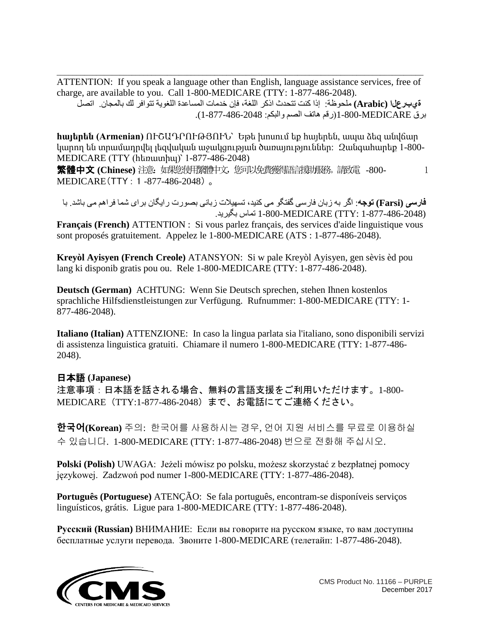\_\_\_\_\_\_\_\_\_\_\_\_\_\_\_\_\_\_\_\_\_\_\_\_\_\_\_\_\_\_\_\_\_\_\_\_\_\_\_\_\_\_\_\_\_\_\_\_\_\_\_\_\_\_\_\_\_\_\_\_\_\_\_\_\_\_\_\_\_\_\_\_\_\_\_\_\_\_\_\_\_\_\_\_\_\_\_\_\_\_\_\_\_ ATTENTION: If you speak a language other than English, language assistance services, free of charge, are available to you. Call 1-800-MEDICARE (TTY: 1-877-486-2048).

 **ةيبرعلا (Arabic (**ملحوظة: إذا كنت تتحدث اذكر اللغة، فإن خدمات المساعدة اللغویة تتوافر لك بالمجان. اتصل برق MEDICARE1-800-)رقم ھاتف الصم والبكم: 877-486-2048 )-1.

**հայերեն (Armenian)** ՈՒՇԱԴՐՈՒԹՅՈՒՆ՝ Եթե խոսում եք հայերեն, ապա ձեզ անվճար կարող են տրամադրվել լեզվական աջակցության ծառայություններ: Զանգահարեք 1-800- MEDICARE (TTY (հեռատիպ)՝ 1-877-486-2048)

繁體中文 **(Chinese)** 注意:如果您使用繁體中文,您可以免費獲得語言援助服務。請致電 -800- 1 MEDICARE(TTY : 1 -877-486-2048) 。

**فارسی (Farsi (توجھ**: اگر بھ زبان فارسی گفتگو می کنید، تسھیلات زبانی بصورت رایگان برای شما فراھم می باشد. با (1-877-486-2048 :TTY (MEDICARE1-800- تماس بگیرید.

**Français (French)** ATTENTION : Si vous parlez français, des services d'aide linguistique vous sont proposés gratuitement. Appelez le 1-800-MEDICARE (ATS : 1-877-486-2048).

**Kreyòl Ayisyen (French Creole)** ATANSYON: Si w pale Kreyòl Ayisyen, gen sèvis èd pou lang ki disponib gratis pou ou. Rele 1-800-MEDICARE (TTY: 1-877-486-2048).

**Deutsch (German)** ACHTUNG: Wenn Sie Deutsch sprechen, stehen Ihnen kostenlos sprachliche Hilfsdienstleistungen zur Verfügung. Rufnummer: 1-800-MEDICARE (TTY: 1- 877-486-2048).

**Italiano (Italian)** ATTENZIONE: In caso la lingua parlata sia l'italiano, sono disponibili servizi di assistenza linguistica gratuiti. Chiamare il numero 1-800-MEDICARE (TTY: 1-877-486- 2048).

#### 日本語 **(Japanese)**

注意事項:日本語を話される場合、無料の言語支援をご利用いただけます。1-800- MEDICARE(TTY:1-877-486-2048)まで、お電話にてご連絡ください。

**한국어(Korean)** 주의: 한국어를 사용하시는 경우, 언어 지원 서비스를 무료로 이용하실 수 있습니다. 1-800-MEDICARE (TTY: 1-877-486-2048) 번으로 전화해 주십시오.

**Polski (Polish)** UWAGA: Jeżeli mówisz po polsku, możesz skorzystać z bezpłatnej pomocy językowej. Zadzwoń pod numer 1-800-MEDICARE (TTY: 1-877-486-2048).

**Português (Portuguese)** ATENÇÃO: Se fala português, encontram-se disponíveis serviços linguísticos, grátis. Ligue para 1-800-MEDICARE (TTY: 1-877-486-2048).

**Русский (Russian)** ВНИМАНИЕ: Если вы говорите на русском языке, то вам доступны бесплатные услуги перевода. Звоните 1-800-MEDICARE (телетайп: 1-877-486-2048).